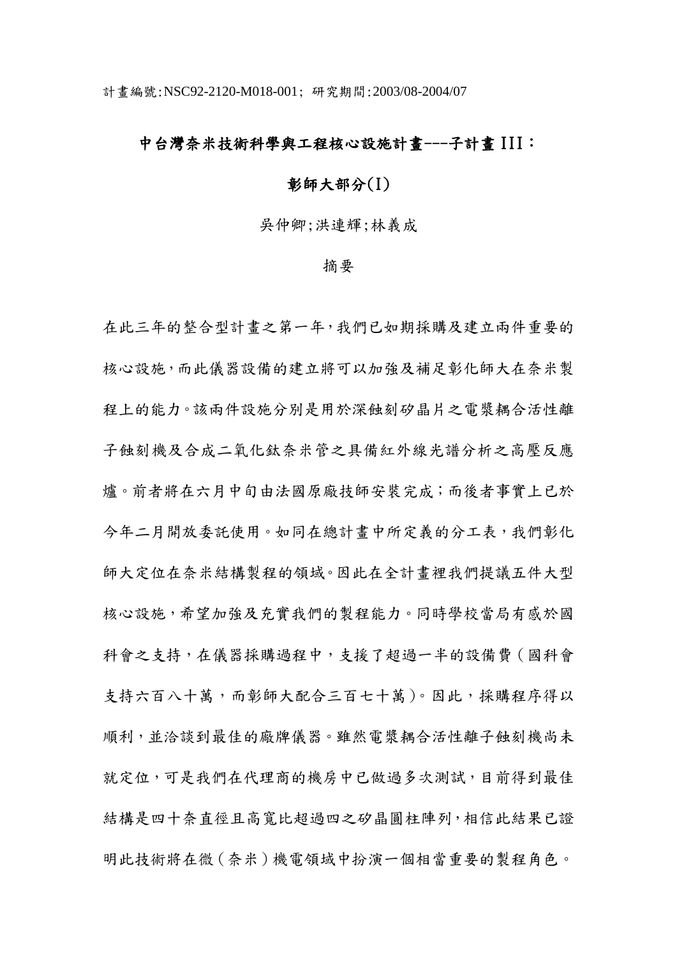## 中台灣奈米技術科學與工程核心設施計畫---子計畫 III:

## 彰師大部分(I)

吳仲卿;洪連輝;林義成

## 摘要

在此三年的整合型計畫之第一年,我們已如期採購及建立兩件重要的 核心設施,而此儀器設備的建立將可以加強及補足彰化師大在奈米製 程上的能力。該兩件設施分別是用於深蝕刻矽晶片之電漿耦合活性離 子蝕刻機及合成二氧化鈦奈米管之具備紅外線光譜分析之高壓反應 爐。前者將在六月中旬由法國原廠技師安裝完成;而後者事實上已於 今年二月開放委託使用。如同在總計畫中所定義的分工表,我們彰化 師大定位在奈米結構製程的領域。因此在全計畫裡我們提議五件大型 核心設施,希望加強及充實我們的製程能力。同時學校當局有感於國 科會之支持,在儀器採購過程中,支援了超過一半的設備費(國科會 支持六百八十萬,而彰師大配合三百七十萬)。因此,採購程序得以 順利,並洽談到最佳的廠牌儀器。雖然電漿耦合活性離子蝕刻機尚未 就定位,可是我們在代理商的機房中已做過多次測試,目前得到最佳 結構是四十奈直徑且高寬比超過四之矽晶圓柱陣列,相信此結果已證 明此技術將在微(奈米)機電領域中扮演一個相當重要的製程角色。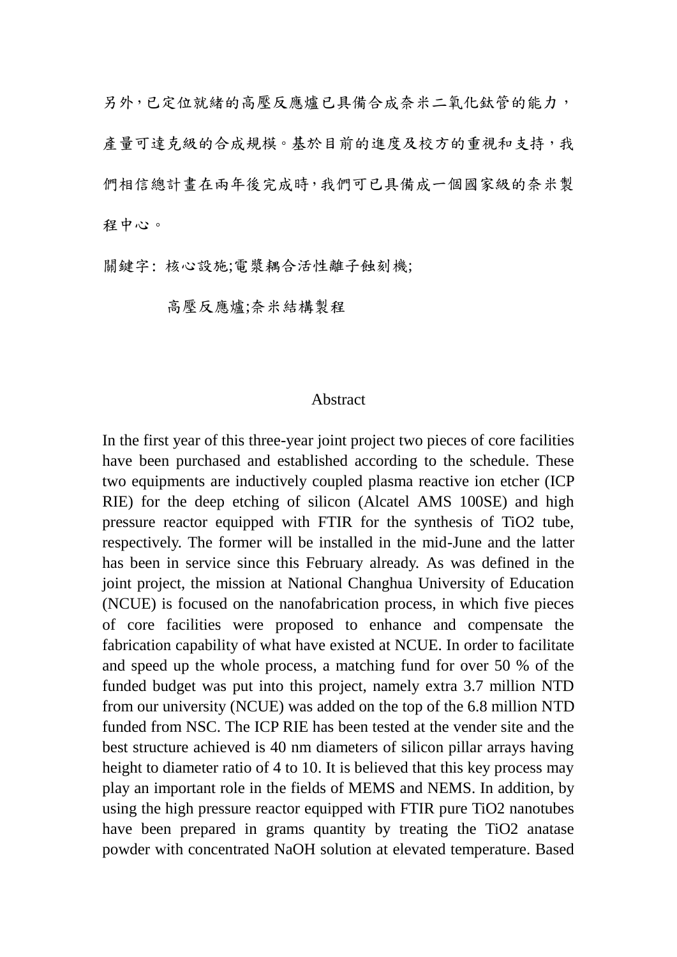另外,已定位就緒的高壓反應爐已具備合成奈米二氧化鈦管的能力, 產量可達克級的合成規模。基於目前的進度及校方的重視和支持,我 們相信總計畫在兩年後完成時,我們可已具備成一個國家級的奈米製 程中心。

關鍵字: 核心設施;電漿耦合活性離子蝕刻機;

高壓反應爐;奈米結構製程

## Abstract

In the first year of this three-year joint project two pieces of core facilities have been purchased and established according to the schedule. These two equipments are inductively coupled plasma reactive ion etcher (ICP RIE) for the deep etching of silicon (Alcatel AMS 100SE) and high pressure reactor equipped with FTIR for the synthesis of TiO2 tube, respectively. The former will be installed in the mid-June and the latter has been in service since this February already. As was defined in the joint project, the mission at National Changhua University of Education (NCUE) is focused on the nanofabrication process, in which five pieces of core facilities were proposed to enhance and compensate the fabrication capability of what have existed at NCUE. In order to facilitate and speed up the whole process, a matching fund for over 50 % of the funded budget was put into this project, namely extra 3.7 million NTD from our university (NCUE) was added on the top of the 6.8 million NTD funded from NSC. The ICP RIE has been tested at the vender site and the best structure achieved is 40 nm diameters of silicon pillar arrays having height to diameter ratio of 4 to 10. It is believed that this key process may play an important role in the fields of MEMS and NEMS. In addition, by using the high pressure reactor equipped with FTIR pure TiO2 nanotubes have been prepared in grams quantity by treating the TiO2 anatase powder with concentrated NaOH solution at elevated temperature. Based